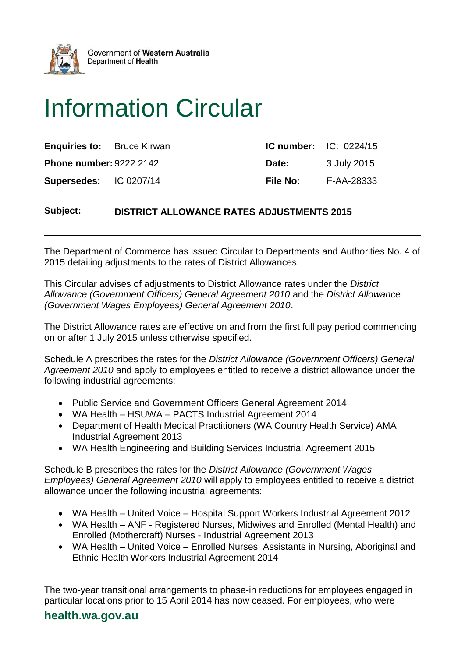

Government of Western Australia Department of Health

# Information Circular

| <b>Enquiries to:</b> Bruce Kirwan | <b>IC number:</b> $IC: 0224/15$ |             |
|-----------------------------------|---------------------------------|-------------|
| <b>Phone number: 9222 2142</b>    | Date:                           | 3 July 2015 |
| <b>Supersedes: IC 0207/14</b>     | <b>File No:</b>                 | F-AA-28333  |

# **Subject: DISTRICT ALLOWANCE RATES ADJUSTMENTS 2015**

The Department of Commerce has issued Circular to Departments and Authorities No. 4 of 2015 detailing adjustments to the rates of District Allowances.

This Circular advises of adjustments to District Allowance rates under the *District Allowance (Government Officers) General Agreement 2010* and the *District Allowance (Government Wages Employees) General Agreement 2010*.

The District Allowance rates are effective on and from the first full pay period commencing on or after 1 July 2015 unless otherwise specified.

Schedule A prescribes the rates for the *District Allowance (Government Officers) General Agreement 2010* and apply to employees entitled to receive a district allowance under the following industrial agreements:

- Public Service and Government Officers General Agreement 2014
- WA Health HSUWA PACTS Industrial Agreement 2014
- Department of Health Medical Practitioners (WA Country Health Service) AMA Industrial Agreement 2013
- WA Health Engineering and Building Services Industrial Agreement 2015

Schedule B prescribes the rates for the *District Allowance (Government Wages Employees) General Agreement 2010* will apply to employees entitled to receive a district allowance under the following industrial agreements:

- WA Health United Voice Hospital Support Workers Industrial Agreement 2012
- WA Health ANF Registered Nurses, Midwives and Enrolled (Mental Health) and Enrolled (Mothercraft) Nurses - Industrial Agreement 2013
- WA Health United Voice Enrolled Nurses, Assistants in Nursing, Aboriginal and Ethnic Health Workers Industrial Agreement 2014

The two-year transitional arrangements to phase-in reductions for employees engaged in particular locations prior to 15 April 2014 has now ceased. For employees, who were

# **health.wa.gov.au**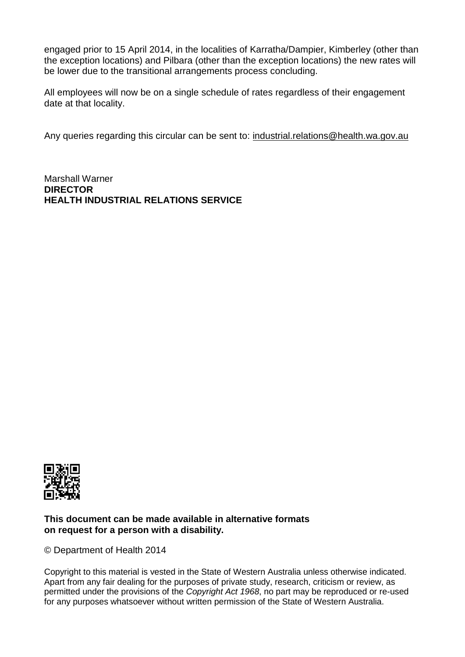engaged prior to 15 April 2014, in the localities of Karratha/Dampier, Kimberley (other than the exception locations) and Pilbara (other than the exception locations) the new rates will be lower due to the transitional arrangements process concluding.

All employees will now be on a single schedule of rates regardless of their engagement date at that locality.

Any queries regarding this circular can be sent to: [industrial.relations@health.wa.gov.au](mailto:industrial.relations@health.wa.gov.au)

Marshall Warner **DIRECTOR HEALTH INDUSTRIAL RELATIONS SERVICE**



#### **This document can be made available in alternative formats on request for a person with a disability.**

© Department of Health 2014

Copyright to this material is vested in the State of Western Australia unless otherwise indicated. Apart from any fair dealing for the purposes of private study, research, criticism or review, as permitted under the provisions of the *Copyright Act 1968*, no part may be reproduced or re-used for any purposes whatsoever without written permission of the State of Western Australia.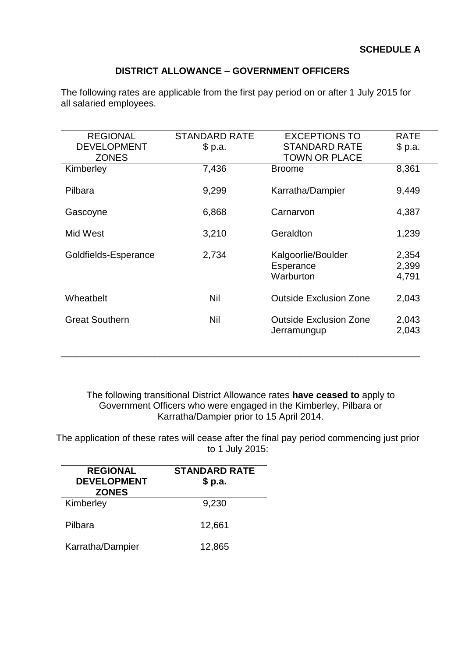# **DISTRICT ALLOWANCE – GOVERNMENT OFFICERS**

| <b>REGIONAL</b>       | <b>STANDARD RATE</b> | <b>EXCEPTIONS TO</b>          | <b>RATE</b> |
|-----------------------|----------------------|-------------------------------|-------------|
| <b>DEVELOPMENT</b>    | \$p.a.               | <b>STANDARD RATE</b>          | \$ p.a.     |
| <b>ZONES</b>          |                      | <b>TOWN OR PLACE</b>          |             |
| Kimberley             | 7,436                | <b>Broome</b>                 | 8,361       |
|                       |                      |                               |             |
| Pilbara               | 9,299                | Karratha/Dampier              | 9,449       |
|                       |                      |                               |             |
| Gascoyne              | 6,868                | Carnarvon                     | 4,387       |
| Mid West              | 3,210                | Geraldton                     | 1,239       |
|                       |                      |                               |             |
| Goldfields-Esperance  | 2,734                | Kalgoorlie/Boulder            | 2,354       |
|                       |                      | Esperance                     | 2,399       |
|                       |                      | Warburton                     | 4,791       |
|                       |                      |                               |             |
| Wheatbelt             | Nil                  | <b>Outside Exclusion Zone</b> | 2,043       |
|                       |                      |                               |             |
| <b>Great Southern</b> | Nil                  | <b>Outside Exclusion Zone</b> | 2,043       |
|                       |                      | Jerramungup                   | 2,043       |
|                       |                      |                               |             |
|                       |                      |                               |             |

The following rates are applicable from the first pay period on or after 1 July 2015 for all salaried employees.

The following transitional District Allowance rates **have ceased to** apply to Government Officers who were engaged in the Kimberley, Pilbara or Karratha/Dampier prior to 15 April 2014.

The application of these rates will cease after the final pay period commencing just prior to 1 July 2015:

| <b>REGIONAL</b><br><b>DEVELOPMENT</b><br><b>ZONES</b> | <b>STANDARD RATE</b><br>\$ p.a. |
|-------------------------------------------------------|---------------------------------|
| Kimberley                                             | 9,230                           |
| Pilbara                                               | 12,661                          |
| Karratha/Dampier                                      | 12,865                          |